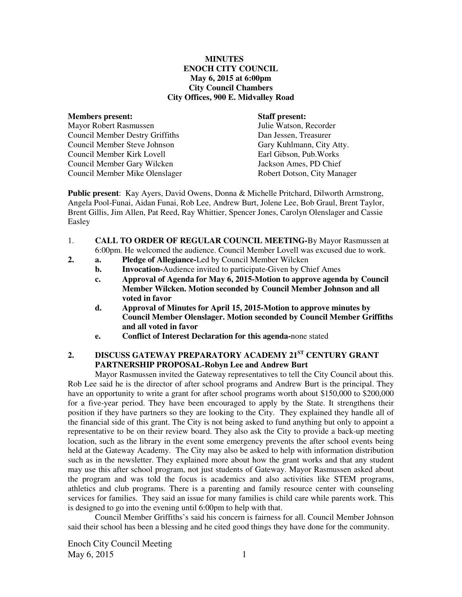#### **MINUTES ENOCH CITY COUNCIL May 6, 2015 at 6:00pm City Council Chambers City Offices, 900 E. Midvalley Road**

#### **Members present: Staff present:**

Mayor Robert Rasmussen Julie Watson, Recorder Council Member Destry Griffiths Dan Jessen, Treasurer Council Member Steve Johnson Gary Kuhlmann, City Atty. Council Member Kirk Lovell Earl Gibson, Pub.Works Council Member Gary Wilcken Jackson Ames, PD Chief Council Member Mike Olenslager Robert Dotson, City Manager

**Public present**: Kay Ayers, David Owens, Donna & Michelle Pritchard, Dilworth Armstrong, Angela Pool-Funai, Aidan Funai, Rob Lee, Andrew Burt, Jolene Lee, Bob Graul, Brent Taylor, Brent Gillis, Jim Allen, Pat Reed, Ray Whittier, Spencer Jones, Carolyn Olenslager and Cassie Easley

- 1. **CALL TO ORDER OF REGULAR COUNCIL MEETING-**By Mayor Rasmussen at 6:00pm. He welcomed the audience. Council Member Lovell was excused due to work.
- **2. a. Pledge of Allegiance-**Led by Council Member Wilcken
	- **b.** Invocation-Audience invited to participate-Given by Chief Ames
		- **c. Approval of Agenda for May 6, 2015-Motion to approve agenda by Council Member Wilcken. Motion seconded by Council Member Johnson and all voted in favor**
		- **d. Approval of Minutes for April 15, 2015-Motion to approve minutes by Council Member Olenslager. Motion seconded by Council Member Griffiths and all voted in favor**
		- **e. Conflict of Interest Declaration for this agenda-**none stated

# **2. DISCUSS GATEWAY PREPARATORY ACADEMY 21ST CENTURY GRANT PARTNERSHIP PROPOSAL-Robyn Lee and Andrew Burt**

Mayor Rasmussen invited the Gateway representatives to tell the City Council about this. Rob Lee said he is the director of after school programs and Andrew Burt is the principal. They have an opportunity to write a grant for after school programs worth about \$150,000 to \$200,000 for a five-year period. They have been encouraged to apply by the State. It strengthens their position if they have partners so they are looking to the City.They explained they handle all of the financial side of this grant. The City is not being asked to fund anything but only to appoint a representative to be on their review board. They also ask the City to provide a back-up meeting location, such as the library in the event some emergency prevents the after school events being held at the Gateway Academy.The City may also be asked to help with information distribution such as in the newsletter. They explained more about how the grant works and that any student may use this after school program, not just students of Gateway. Mayor Rasmussen asked about the program and was told the focus is academics and also activities like STEM programs, athletics and club programs. There is a parenting and family resource center with counseling services for families. They said an issue for many families is child care while parents work. This is designed to go into the evening until 6:00pm to help with that.

Council Member Griffiths's said his concern is fairness for all. Council Member Johnson said their school has been a blessing and he cited good things they have done for the community.

Enoch City Council Meeting  $\text{May } 6, 2015$  1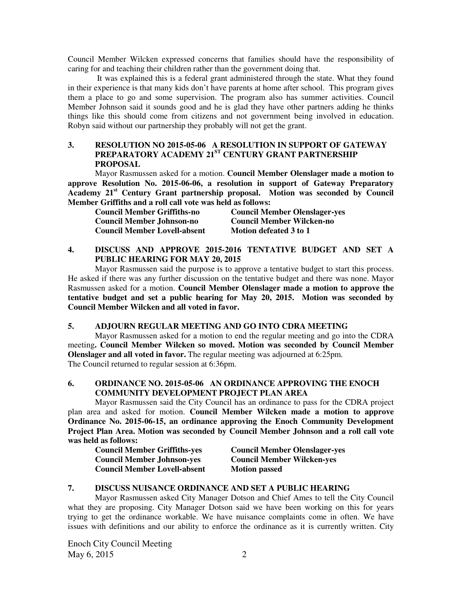Council Member Wilcken expressed concerns that families should have the responsibility of caring for and teaching their children rather than the government doing that.

 It was explained this is a federal grant administered through the state. What they found in their experience is that many kids don't have parents at home after school. This program gives them a place to go and some supervision. The program also has summer activities. Council Member Johnson said it sounds good and he is glad they have other partners adding he thinks things like this should come from citizens and not government being involved in education. Robyn said without our partnership they probably will not get the grant.

# **3. RESOLUTION NO 2015-05-06 A RESOLUTION IN SUPPORT OF GATEWAY PREPARATORY ACADEMY 21ST CENTURY GRANT PARTNERSHIP PROPOSAL**

Mayor Rasmussen asked for a motion. **Council Member Olenslager made a motion to approve Resolution No. 2015-06-06, a resolution in support of Gateway Preparatory Academy 21st Century Grant partnership proposal. Motion was seconded by Council Member Griffiths and a roll call vote was held as follows:** 

| Council Member Griffiths-no         | <b>Council Member Olenslager-yes</b> |
|-------------------------------------|--------------------------------------|
| Council Member Johnson-no           | <b>Council Member Wilcken-no</b>     |
| <b>Council Member Lovell-absent</b> | Motion defeated 3 to 1               |

# **4. DISCUSS AND APPROVE 2015-2016 TENTATIVE BUDGET AND SET A PUBLIC HEARING FOR MAY 20, 2015**

Mayor Rasmussen said the purpose is to approve a tentative budget to start this process. He asked if there was any further discussion on the tentative budget and there was none. Mayor Rasmussen asked for a motion. **Council Member Olenslager made a motion to approve the tentative budget and set a public hearing for May 20, 2015. Motion was seconded by Council Member Wilcken and all voted in favor.** 

#### **5. ADJOURN REGULAR MEETING AND GO INTO CDRA MEETING**

Mayor Rasmussen asked for a motion to end the regular meeting and go into the CDRA meeting**. Council Member Wilcken so moved. Motion was seconded by Council Member Olenslager and all voted in favor.** The regular meeting was adjourned at 6:25pm. The Council returned to regular session at 6:36pm.

### **6. ORDINANCE NO. 2015-05-06 AN ORDINANCE APPROVING THE ENOCH COMMUNITY DEVELOPMENT PROJECT PLAN AREA**

Mayor Rasmussen said the City Council has an ordinance to pass for the CDRA project plan area and asked for motion. **Council Member Wilcken made a motion to approve Ordinance No. 2015-06-15, an ordinance approving the Enoch Community Development Project Plan Area. Motion was seconded by Council Member Johnson and a roll call vote was held as follows:** 

| <b>Council Member Griffiths-yes</b> | <b>Council Member Olenslager-yes</b> |
|-------------------------------------|--------------------------------------|
| <b>Council Member Johnson-yes</b>   | <b>Council Member Wilcken-yes</b>    |
| <b>Council Member Lovell-absent</b> | <b>Motion passed</b>                 |

### **7. DISCUSS NUISANCE ORDINANCE AND SET A PUBLIC HEARING**

Mayor Rasmussen asked City Manager Dotson and Chief Ames to tell the City Council what they are proposing. City Manager Dotson said we have been working on this for years trying to get the ordinance workable. We have nuisance complaints come in often. We have issues with definitions and our ability to enforce the ordinance as it is currently written. City

Enoch City Council Meeting May  $6, 2015$  2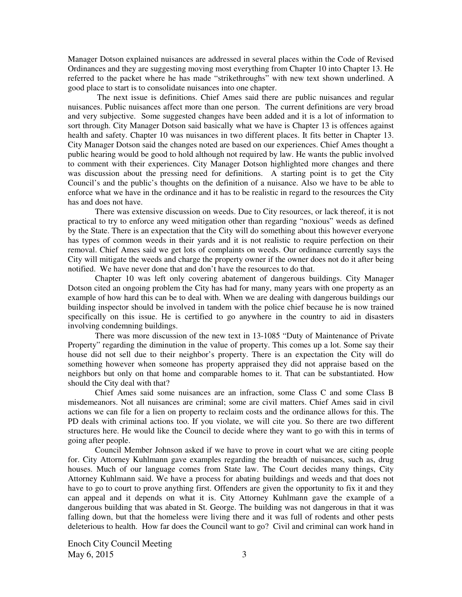Manager Dotson explained nuisances are addressed in several places within the Code of Revised Ordinances and they are suggesting moving most everything from Chapter 10 into Chapter 13. He referred to the packet where he has made "strikethroughs" with new text shown underlined. A good place to start is to consolidate nuisances into one chapter.

 The next issue is definitions. Chief Ames said there are public nuisances and regular nuisances. Public nuisances affect more than one person. The current definitions are very broad and very subjective. Some suggested changes have been added and it is a lot of information to sort through. City Manager Dotson said basically what we have is Chapter 13 is offences against health and safety. Chapter 10 was nuisances in two different places. It fits better in Chapter 13. City Manager Dotson said the changes noted are based on our experiences. Chief Ames thought a public hearing would be good to hold although not required by law. He wants the public involved to comment with their experiences. City Manager Dotson highlighted more changes and there was discussion about the pressing need for definitions. A starting point is to get the City Council's and the public's thoughts on the definition of a nuisance. Also we have to be able to enforce what we have in the ordinance and it has to be realistic in regard to the resources the City has and does not have.

There was extensive discussion on weeds. Due to City resources, or lack thereof, it is not practical to try to enforce any weed mitigation other than regarding "noxious" weeds as defined by the State. There is an expectation that the City will do something about this however everyone has types of common weeds in their yards and it is not realistic to require perfection on their removal. Chief Ames said we get lots of complaints on weeds. Our ordinance currently says the City will mitigate the weeds and charge the property owner if the owner does not do it after being notified. We have never done that and don't have the resources to do that.

Chapter 10 was left only covering abatement of dangerous buildings. City Manager Dotson cited an ongoing problem the City has had for many, many years with one property as an example of how hard this can be to deal with. When we are dealing with dangerous buildings our building inspector should be involved in tandem with the police chief because he is now trained specifically on this issue. He is certified to go anywhere in the country to aid in disasters involving condemning buildings.

There was more discussion of the new text in 13-1085 "Duty of Maintenance of Private Property" regarding the diminution in the value of property. This comes up a lot. Some say their house did not sell due to their neighbor's property. There is an expectation the City will do something however when someone has property appraised they did not appraise based on the neighbors but only on that home and comparable homes to it. That can be substantiated. How should the City deal with that?

Chief Ames said some nuisances are an infraction, some Class C and some Class B misdemeanors. Not all nuisances are criminal; some are civil matters. Chief Ames said in civil actions we can file for a lien on property to reclaim costs and the ordinance allows for this. The PD deals with criminal actions too. If you violate, we will cite you. So there are two different structures here. He would like the Council to decide where they want to go with this in terms of going after people.

Council Member Johnson asked if we have to prove in court what we are citing people for. City Attorney Kuhlmann gave examples regarding the breadth of nuisances, such as, drug houses. Much of our language comes from State law. The Court decides many things, City Attorney Kuhlmann said. We have a process for abating buildings and weeds and that does not have to go to court to prove anything first. Offenders are given the opportunity to fix it and they can appeal and it depends on what it is. City Attorney Kuhlmann gave the example of a dangerous building that was abated in St. George. The building was not dangerous in that it was falling down, but that the homeless were living there and it was full of rodents and other pests deleterious to health. How far does the Council want to go? Civil and criminal can work hand in

Enoch City Council Meeting May  $6, 2015$  3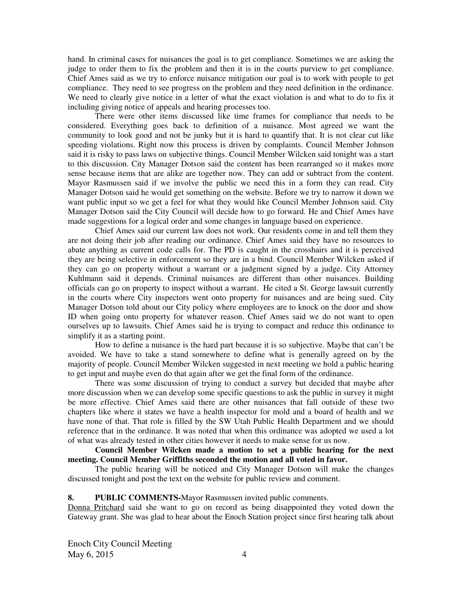hand. In criminal cases for nuisances the goal is to get compliance. Sometimes we are asking the judge to order them to fix the problem and then it is in the courts purview to get compliance. Chief Ames said as we try to enforce nuisance mitigation our goal is to work with people to get compliance. They need to see progress on the problem and they need definition in the ordinance. We need to clearly give notice in a letter of what the exact violation is and what to do to fix it including giving notice of appeals and hearing processes too.

There were other items discussed like time frames for compliance that needs to be considered. Everything goes back to definition of a nuisance. Most agreed we want the community to look good and not be junky but it is hard to quantify that. It is not clear cut like speeding violations. Right now this process is driven by complaints. Council Member Johnson said it is risky to pass laws on subjective things. Council Member Wilcken said tonight was a start to this discussion. City Manager Dotson said the content has been rearranged so it makes more sense because items that are alike are together now. They can add or subtract from the content. Mayor Rasmussen said if we involve the public we need this in a form they can read. City Manager Dotson said he would get something on the website. Before we try to narrow it down we want public input so we get a feel for what they would like Council Member Johnson said. City Manager Dotson said the City Council will decide how to go forward. He and Chief Ames have made suggestions for a logical order and some changes in language based on experience.

Chief Ames said our current law does not work. Our residents come in and tell them they are not doing their job after reading our ordinance. Chief Ames said they have no resources to abate anything as current code calls for. The PD is caught in the crosshairs and it is perceived they are being selective in enforcement so they are in a bind. Council Member Wilcken asked if they can go on property without a warrant or a judgment signed by a judge. City Attorney Kuhlmann said it depends. Criminal nuisances are different than other nuisances. Building officials can go on property to inspect without a warrant. He cited a St. George lawsuit currently in the courts where City inspectors went onto property for nuisances and are being sued. City Manager Dotson told about our City policy where employees are to knock on the door and show ID when going onto property for whatever reason. Chief Ames said we do not want to open ourselves up to lawsuits. Chief Ames said he is trying to compact and reduce this ordinance to simplify it as a starting point.

How to define a nuisance is the hard part because it is so subjective. Maybe that can't be avoided. We have to take a stand somewhere to define what is generally agreed on by the majority of people. Council Member Wilcken suggested in next meeting we hold a public hearing to get input and maybe even do that again after we get the final form of the ordinance.

There was some discussion of trying to conduct a survey but decided that maybe after more discussion when we can develop some specific questions to ask the public in survey it might be more effective. Chief Ames said there are other nuisances that fall outside of these two chapters like where it states we have a health inspector for mold and a board of health and we have none of that. That role is filled by the SW Utah Public Health Department and we should reference that in the ordinance. It was noted that when this ordinance was adopted we used a lot of what was already tested in other cities however it needs to make sense for us now.

#### **Council Member Wilcken made a motion to set a public hearing for the next meeting. Council Member Griffiths seconded the motion and all voted in favor.**

The public hearing will be noticed and City Manager Dotson will make the changes discussed tonight and post the text on the website for public review and comment.

#### **8. PUBLIC COMMENTS-**Mayor Rasmussen invited public comments.

Donna Pritchard said she want to go on record as being disappointed they voted down the Gateway grant. She was glad to hear about the Enoch Station project since first hearing talk about

Enoch City Council Meeting  $\text{May } 6, 2015$  4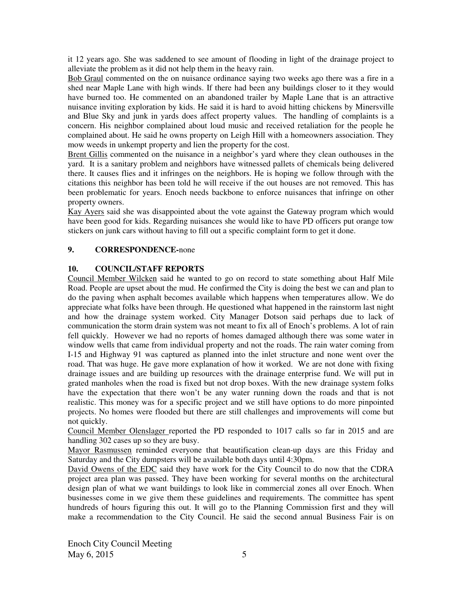it 12 years ago. She was saddened to see amount of flooding in light of the drainage project to alleviate the problem as it did not help them in the heavy rain.

Bob Graul commented on the on nuisance ordinance saying two weeks ago there was a fire in a shed near Maple Lane with high winds. If there had been any buildings closer to it they would have burned too. He commented on an abandoned trailer by Maple Lane that is an attractive nuisance inviting exploration by kids. He said it is hard to avoid hitting chickens by Minersville and Blue Sky and junk in yards does affect property values. The handling of complaints is a concern. His neighbor complained about loud music and received retaliation for the people he complained about. He said he owns property on Leigh Hill with a homeowners association. They mow weeds in unkempt property and lien the property for the cost.

Brent Gillis commented on the nuisance in a neighbor's yard where they clean outhouses in the yard. It is a sanitary problem and neighbors have witnessed pallets of chemicals being delivered there. It causes flies and it infringes on the neighbors. He is hoping we follow through with the citations this neighbor has been told he will receive if the out houses are not removed. This has been problematic for years. Enoch needs backbone to enforce nuisances that infringe on other property owners.

Kay Ayers said she was disappointed about the vote against the Gateway program which would have been good for kids. Regarding nuisances she would like to have PD officers put orange tow stickers on junk cars without having to fill out a specific complaint form to get it done.

### **9. CORRESPONDENCE-**none

## **10. COUNCIL/STAFF REPORTS**

Council Member Wilcken said he wanted to go on record to state something about Half Mile Road. People are upset about the mud. He confirmed the City is doing the best we can and plan to do the paving when asphalt becomes available which happens when temperatures allow. We do appreciate what folks have been through. He questioned what happened in the rainstorm last night and how the drainage system worked. City Manager Dotson said perhaps due to lack of communication the storm drain system was not meant to fix all of Enoch's problems. A lot of rain fell quickly. However we had no reports of homes damaged although there was some water in window wells that came from individual property and not the roads. The rain water coming from I-15 and Highway 91 was captured as planned into the inlet structure and none went over the road. That was huge. He gave more explanation of how it worked. We are not done with fixing drainage issues and are building up resources with the drainage enterprise fund. We will put in grated manholes when the road is fixed but not drop boxes. With the new drainage system folks have the expectation that there won't be any water running down the roads and that is not realistic. This money was for a specific project and we still have options to do more pinpointed projects. No homes were flooded but there are still challenges and improvements will come but not quickly.

Council Member Olenslager reported the PD responded to 1017 calls so far in 2015 and are handling 302 cases up so they are busy.

Mayor Rasmussen reminded everyone that beautification clean-up days are this Friday and Saturday and the City dumpsters will be available both days until 4:30pm.

David Owens of the EDC said they have work for the City Council to do now that the CDRA project area plan was passed. They have been working for several months on the architectural design plan of what we want buildings to look like in commercial zones all over Enoch. When businesses come in we give them these guidelines and requirements. The committee has spent hundreds of hours figuring this out. It will go to the Planning Commission first and they will make a recommendation to the City Council. He said the second annual Business Fair is on

Enoch City Council Meeting  $\text{May } 6, 2015$  5